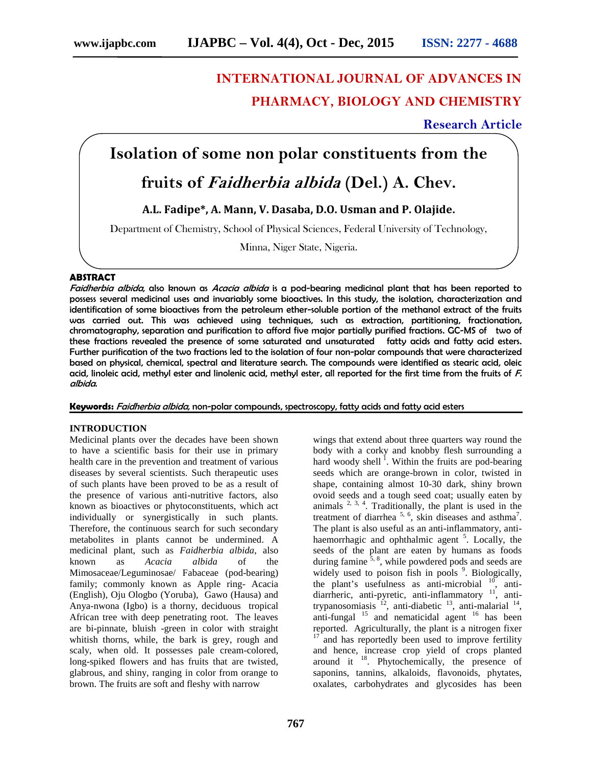# **INTERNATIONAL JOURNAL OF ADVANCES IN PHARMACY, BIOLOGY AND CHEMISTRY**

### **Research Article**

# **Isolation of some non polar constituents from the**

### **fruits of** *Faidherbia albida* **(Del.) A. Chev.**

**A.L. Fadipe\*, A. Mann, V. Dasaba, D.O. Usman and P. Olajide.**

Department of Chemistry, School of Physical Sciences, Federal University of Technology,

Minna, Niger State, Nigeria.

#### **ABSTRACT**

*Faidherbia albida*, also known as *Acacia albida* is a pod-bearing medicinal plant that has been reported to possess several medicinal uses and invariably some bioactives. In this study, the isolation, characterization and identification of some bioactives from the petroleum ether-soluble portion of the methanol extract of the fruits was carried out. This was achieved using techniques, such as extraction, partitioning, fractionation, chromatography, separation and purification to afford five major partially purified fractions. GC-MS of two of these fractions revealed the presence of some saturated and unsaturated fatty acids and fatty acid esters. Further purification of the two fractions led to the isolation of four non-polar compounds that were characterized based on physical, chemical, spectral and literature search. The compounds were identified as stearic acid, oleic acid, linoleic acid, methyl ester and linolenic acid, methyl ester, all reported for the first time from the fruits of *F. albida*.

**Keywords:** *Faidherbia albida*, non-polar compounds, spectroscopy, fatty acids and fatty acid esters

#### **INTRODUCTION**

Medicinal plants over the decades have been shown to have a scientific basis for their use in primary health care in the prevention and treatment of various diseases by several scientists. Such therapeutic uses of such plants have been proved to be as a result of the presence of various anti-nutritive factors, also known as bioactives or phytoconstituents, which act individually or synergistically in such plants. Therefore, the continuous search for such secondary metabolites in plants cannot be undermined. A medicinal plant, such as *Faidherbia albida*, also known as *Acacia albida* of the Mimosaceae/Leguminosae/ Fabaceae (pod-bearing) family; commonly known as Apple ring- Acacia (English), Oju Ologbo (Yoruba), Gawo (Hausa) and Anya-nwona (Igbo) is a thorny, deciduous tropical African tree with deep penetrating root. The leaves are bi-pinnate, bluish -green in color with straight whitish thorns, while, the bark is grey, rough and scaly, when old. It possesses pale cream-colored, long-spiked flowers and has fruits that are twisted, glabrous, and shiny, ranging in color from orange to brown. The fruits are soft and fleshy with narrow

wings that extend about three quarters way round the body with a corky and knobby flesh surrounding a hard woody shell<sup>1</sup>. Within the fruits are pod-bearing seeds which are orange-brown in color, twisted in shape, containing almost 10-30 dark, shiny brown ovoid seeds and a tough seed coat; usually eaten by animals  $2, 3, 4$ . Traditionally, the plant is used in the treatment of diarrhea<sup>5, 6</sup>, skin diseases and asthma<sup>7</sup>. The plant is also useful as an anti-inflammatory, anti haemorrhagic and ophthalmic agent <sup>5</sup>. Locally, the seeds of the plant are eaten by humans as foods during famine  $\frac{3}{5}$ , while powdered pods and seeds are widely used to poison fish in pools <sup>9</sup>. Biologically, the plant's usefulness as anti-microbial  $\frac{10}{10}$ , antidiarrheric, anti-pyretic, anti-inflammatory<sup>11</sup>, antitrypanosomiasis  $12$ , anti-diabetic  $13$ , anti-malarial  $14$ , trypanosomiasis  $^{12}$ , anti-diabetic  $^{13}$ , anti-malarial  $^{14}$ , anti-fungal  $^{15}$  and nematicidal agent  $^{16}$  has been reported. Agriculturally, the plant is a nitrogen fixer and has reportedly been used to improve fertility and hence, increase crop yield of crops planted around it  $18$ . Phytochemically, the presence of saponins, tannins, alkaloids, flavonoids, phytates, oxalates, carbohydrates and glycosides has been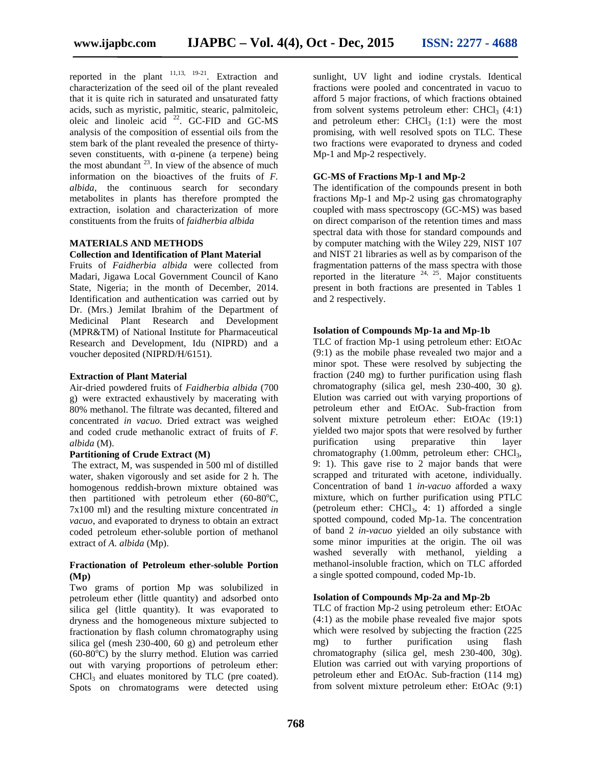reported in the plant  $11,13, 19-21$ . Extraction and characterization of the seed oil of the plant revealed that it is quite rich in saturated and unsaturated fatty acids, such as myristic, palmitic, stearic, palmitoleic, oleic and linoleic acid  $^{22}$ . GC-FID and GC-MS a analysis of the composition of essential oils from the stem bark of the plant revealed the presence of thirty seven constituents, with -pinene (a terpene) being the most abundant  $^{23}$ . In view of the absence of much information on the bioactives of the fruits of *F. albida*, the continuous search for secondary metabolites in plants has therefore prompted the extraction, isolation and characterization of more constituents from the fruits of *faidherbia albida*

#### **MATERIALS AND METHODS**

#### **Collection and Identification of Plant Material**

Fruits of *Faidherbia albida* were collected from Madari, Jigawa Local Government Council of Kano State, Nigeria; in the month of December, 2014. Identification and authentication was carried out by Dr. (Mrs.) Jemilat Ibrahim of the Department of Medicinal Plant Research and Development (MPR&TM) of National Institute for Pharmaceutical Research and Development, Idu (NIPRD) and a voucher deposited (NIPRD/H/6151).

#### **Extraction of Plant Material**

Air-dried powdered fruits of *Faidherbia albida* (700 g) were extracted exhaustively by macerating with 80% methanol. The filtrate was decanted, filtered and concentrated *in vacuo*. Dried extract was weighed and coded crude methanolic extract of fruits of *F. albida* (M).

#### **Partitioning of Crude Extract (M)**

The extract, M, was suspended in 500 ml of distilled water, shaken vigorously and set aside for 2 h. The homogenous reddish-brown mixture obtained was then partitioned with petroleum ether  $(60-80^{\circ}C,$ 7x100 ml) and the resulting mixture concentrated *in vacuo*, and evaporated to dryness to obtain an extract coded petroleum ether-soluble portion of methanol extract of *A. albida* (Mp).

#### **Fractionation of Petroleum ether-soluble Portion (Mp)**

Two grams of portion Mp was solubilized in petroleum ether (little quantity) and adsorbed onto silica gel (little quantity). It was evaporated to dryness and the homogeneous mixture subjected to fractionation by flash column chromatography using silica gel (mesh 230-400, 60 g) and petroleum ether  $(60-80^{\circ}\text{C})$  by the slurry method. Elution was carried out with varying proportions of petroleum ether:  $CHCl<sub>3</sub>$  and eluates monitored by TLC (pre coated). Spots on chromatograms were detected using sunlight, UV light and iodine crystals. Identical fractions were pooled and concentrated in vacuo to afford 5 major fractions, of which fractions obtained from solvent systems petroleum ether:  $CHCl<sub>3</sub>(4:1)$ and petroleum ether:  $CHCl<sub>3</sub>$  (1:1) were the most promising, with well resolved spots on TLC. These two fractions were evaporated to dryness and coded Mp-1 and Mp-2 respectively.

#### **GC-MS of Fractions Mp-1 and Mp-2**

The identification of the compounds present in both fractions Mp-1 and Mp-2 using gas chromatography coupled with mass spectroscopy (GC-MS) was based on direct comparison of the retention times and mass spectral data with those for standard compounds and by computer matching with the Wiley 229, NIST 107 and NIST 21 libraries as well as by comparison of the fragmentation patterns of the mass spectra with those reported in the literature  $24, 25$ . Major constituents present in both fractions are presented in Tables 1 and 2 respectively.

#### **Isolation of Compounds Mp-1a and Mp-1b**

TLC of fraction Mp-1 using petroleum ether: EtOAc (9:1) as the mobile phase revealed two major and a minor spot. These were resolved by subjecting the fraction (240 mg) to further purification using flash chromatography (silica gel, mesh 230-400, 30 g). Elution was carried out with varying proportions of petroleum ether and EtOAc. Sub-fraction from solvent mixture petroleum ether: EtOAc (19:1) yielded two major spots that were resolved by further purification using preparative thin layer chromatography  $(1.00$ mm, petroleum ether: CHCl<sub>3</sub>, 9: 1). This gave rise to 2 major bands that were scrapped and triturated with acetone, individually. Concentration of band 1 *in-vacuo* afforded a waxy mixture, which on further purification using PTLC (petroleum ether: CHCl<sub>3</sub>, 4: 1) afforded a single spotted compound, coded Mp-1a. The concentration of band 2 *in-vacuo* yielded an oily substance with some minor impurities at the origin. The oil was washed severally with methanol, yielding a methanol-insoluble fraction, which on TLC afforded a single spotted compound, coded Mp-1b.

#### **Isolation of Compounds Mp-2a and Mp-2b**

TLC of fraction Mp-2 using petroleum ether: EtOAc (4:1) as the mobile phase revealed five major spots which were resolved by subjecting the fraction (225 mg) to further purification using flash chromatography (silica gel, mesh 230-400, 30g). Elution was carried out with varying proportions of petroleum ether and EtOAc. Sub-fraction (114 mg) from solvent mixture petroleum ether: EtOAc (9:1)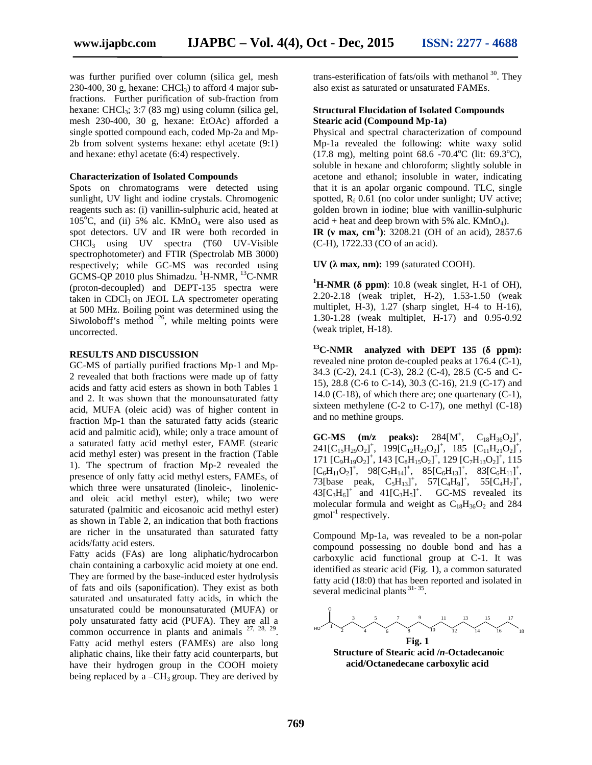was further purified over column (silica gel, mesh 230-400, 30 g, hexane: CHCl<sub>3</sub>) to afford 4 major subfractions. Further purification of sub-fraction from hexane: CHCl $_3$ : 3:7 (83 mg) using column (silica gel, mesh 230-400, 30 g, hexane: EtOAc) afforded a single spotted compound each, coded Mp-2a and Mp- 2b from solvent systems hexane: ethyl acetate (9:1) and hexane: ethyl acetate (6:4) respectively.

#### **Characterization of Isolated Compounds**

Spots on chromatograms were detected using sunlight, UV light and iodine crystals. Chromogenic reagents such as: (i) vanillin-sulphuric acid, heated at 105 $^{\circ}$ C, and (ii) 5% alc. KMnO<sub>4</sub> were also used as spot detectors. UV and IR were both recorded in CHCl<sup>3</sup> using UV spectra (T60 UV-Visible spectrophotometer) and FTIR (Spectrolab MB 3000) respectively; while GC-MS was recorded using GCMS-QP 2010 plus Shimadzu. <sup>1</sup>H-NMR, <sup>13</sup>C-NMR (proton-decoupled) and DEPT-135 spectra were taken in  $CDCl<sub>3</sub>$  on JEOL LA spectrometer operating at 500 MHz. Boiling point was determined using the Siwoloboff's method  $26$ , while melting points were uncorrected.

#### **RESULTS AND DISCUSSION**

GC-MS of partially purified fractions Mp-1 and Mp- 2 revealed that both fractions were made up of fatty acids and fatty acid esters as shown in both Tables 1 and 2. It was shown that the monounsaturated fatty acid, MUFA (oleic acid) was of higher content in fraction Mp-1 than the saturated fatty acids (stearic acid and palmitic acid), while; only a trace amount of a saturated fatty acid methyl ester, FAME (stearic acid methyl ester) was present in the fraction (Table 1). The spectrum of fraction Mp-2 revealed the presence of only fatty acid methyl esters, FAMEs, of which three were unsaturated (linoleic-, linolenicand oleic acid methyl ester), while; two were saturated (palmitic and eicosanoic acid methyl ester) as shown in Table 2, an indication that both fractions are richer in the unsaturated than saturated fatty acids/fatty acid esters.

Fatty acids (FAs) are long aliphatic/hydrocarbon chain containing a carboxylic acid moiety at one end. They are formed by the base-induced ester hydrolysis of fats and oils (saponification). They exist as both saturated and unsaturated fatty acids, in which the unsaturated could be monounsaturated (MUFA) or poly unsaturated fatty acid (PUFA). They are all a common occurrence in plants and animals  $27, 28, 29$ . Fatty acid methyl esters (FAMEs) are also long aliphatic chains, like their fatty acid counterparts, but have their hydrogen group in the COOH moiety being replaced by a  $-CH_3$  group. They are derived by

trans-esterification of fats/oils with methanol  $30$ . They also exist as saturated or unsaturated FAMEs.

#### **Structural Elucidation of Isolated Compounds Stearic acid (Compound Mp-1a)**

Physical and spectral characterization of compound Mp-1a revealed the following: white waxy solid  $(17.8 \text{ mg})$ , melting point  $68.6 \text{ -}70.4^{\circ}\text{C}$  (lit:  $69.3^{\circ}\text{C}$ ), soluble in hexane and chloroform; slightly soluble in acetone and ethanol; insoluble in water, indicating that it is an apolar organic compound. TLC, single spotted,  $R_f$  0.61 (no color under sunlight; UV active; golden brown in iodine; blue with vanillin-sulphuric  $acid + heat$  and deep brown with 5% alc.  $K MnO<sub>4</sub>$ ).

**IR** (max, cm<sup>-1</sup>): 3208.21 (OH of an acid), 2857.6 (C-H), 1722.33 (CO of an acid).

**UV** (max, nm): 199 (saturated COOH).

 $^1$ **H-NMR** (ppm): 10.8 (weak singlet, H-1 of OH), 2.20-2.18 (weak triplet, H-2), 1.53-1.50 (weak multiplet, H-3), 1.27 (sharp singlet, H-4 to H-16), 1.30-1.28 (weak multiplet, H-17) and 0.95-0.92 (weak triplet, H-18).

<sup>13</sup>**C-NMR** analyzed with DEPT 135 (ppm): revealed nine proton de-coupled peaks at 176.4 (C-1), 34.3 (C-2), 24.1 (C-3), 28.2 (C-4), 28.5 (C-5 and C- 15), 28.8 (C-6 to C-14), 30.3 (C-16), 21.9 (C-17) and 14.0 (C-18), of which there are; one quartenary  $(C-1)$ , sixteen methylene (C-2 to C-17), one methyl (C-18) and no methine groups.

**GC-MS** (m/z peaks):  $284[M^+,$  $, \quad C_{18}H_{36}O_2]^+,$  $241[C_{15}H_{29}O_2]^+$ ,  $199[C_{12}H_{23}O_2]^+$ ,  $185[C_{11}H_{21}O_2]^+$ , 171  $[C_9H_{19}O_2]^+$ , 143  $[C_8H_{15}O_2]^+$ , 129  $[C_7H_{13}O_2]^+$ , 115  $[C_6H_{11}O_2]^+, 98[C_7H_{14}]^+, 85[C_6H_{13}]^+, 83[C_6H_{11}]^+,$ 73[base peak,  $C_5H_{13}$ ]<sup>+</sup>, 57[ $C_4H_9$ ]<sup>+</sup>, 55[ $C_4H_7$ ]<sup>+</sup>,  $43[C_3H_6]^+$  and  $41[C_3H_5]^+$ . . GC-MS revealed its molecular formula and weight as  $C_{18}H_{36}O_2$  and 284  $\text{gmol}^{-1}$  respectively.

Compound Mp-1a, was revealed to be a non-polar compound possessing no double bond and has a carboxylic acid functional group at C-1. It was identified as stearic acid (Fig. 1), a common saturated fatty acid (18:0) that has been reported and isolated in several medicinal plants  $31 - 35$ .

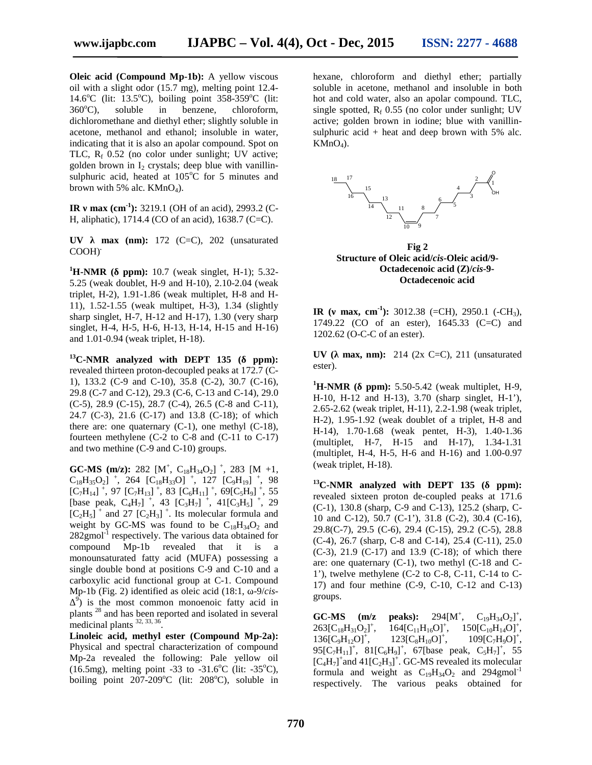**Oleic acid (Compound Mp-1b):** A vellow viscous oil with a slight odor (15.7 mg), melting point 12.4- 14.6 $\rm{^o}C$  (lit: 13.5 $\rm{^o}C$ ), boiling point 358-359 $\rm{^o}C$  (lit:  $360^{\circ}$ C), soluble in benzene, chloroform, dichloromethane and diethyl ether; slightly soluble in acetone, methanol and ethanol; insoluble in water, indicating that it is also an apolar compound. Spot on TLC,  $R_f$  0.52 (no color under sunlight; UV active; golden brown in  $I_2$  crystals; deep blue with vanillinsulphuric acid, heated at  $105^{\circ}$ C for 5 minutes and brown with 5% alc.  $KMnO<sub>4</sub>$ ).

**IR** max  $(cm^{-1})$ : 3219.1 (OH of an acid), 2993.2 (C-H, aliphatic), 1714.4 (CO of an acid), 1638.7 (C=C).

 $UV$  max (nm):  $172$  (C=C),  $202$  (unsaturated COOH) **.**

**<sup>1</sup>H-NMR ( ppm):** 10.7 (weak singlet, H-1); 5.32- 5.25 (weak doublet, H-9 and H-10), 2.10-2.04 (weak triplet, H-2), 1.91-1.86 (weak multiplet, H-8 and H- 11), 1.52-1.55 (weak multipet, H-3), 1.34 (slightly sharp singlet,  $H-7$ ,  $H-12$  and  $H-17$ ),  $1.30$  (very sharp singlet, H-4, H-5, H-6, H-13, H-14, H-15 and H-16) and 1.01-0.94 (weak triplet, H-18).

**<sup>13</sup>C-NMR analyzed with DEPT 135 ( ppm):** revealed thirteen proton-decoupled peaks at 172.7 (C- 1), 133.2 (C-9 and C-10), 35.8 (C-2), 30.7 (C-16), 29.8 (C-7 and C-12), 29.3 (C-6, C-13 and C-14), 29.0 (C-5), 28.9 (C-15), 28.7 (C-4), 26.5 (C-8 and C-11), 24.7 (C-3), 21.6 (C-17) and 13.8 (C-18); of which there are: one quaternary  $(C-1)$ , one methyl  $(C-18)$ , fourteen methylene (C-2 to C-8 and (C-11 to C-17) and two methine (C-9 and C-10) groups.

**GC-MS** (m/z): 282 [M<sup>+</sup>, C<sub>18</sub>H<sub>34</sub>O<sub>2</sub>]<sup>+</sup>, 283 [M +1,  $C_{18}H_{35}O_2$ ] <sup>+</sup>, 264  $[C_{18}H_{33}O]$  <sup>+</sup>, 127  $[C_9H_{19}]$  <sup>+</sup>, 98  $[C_7H_{14}]$ <sup>+</sup>, 97  $[C_7H_{13}]$ <sup>+</sup>, 83  $[C_6H_{11}]$ <sup>+</sup>, 69 $[C_5H_9]$ <sup>+</sup>, 55 [base peak,  $C_4H_7$ ] +, 43 [ $C_3H_7$ ] +, 41[ $C_3H_5$ ] +, 29  $[C_2H_5]^+$  and 27  $[C_2H_3]^+$ . Its molecular formula and weight by GC-MS was found to be  $C_{18}H_{34}O_2$  and  $282$ gmol<sup>-1</sup> respectively. The various data obtained for compound Mp-1b revealed that it is a monounsaturated fatty acid (MUFA) possessing a single double bond at positions C-9 and C-10 and a carboxylic acid functional group at C-1. Compound Mp-1b (Fig. 2) identified as oleic acid (18:1, -9/*cis*- $^{9}$ ) is the most common monoenoic fatty acid in plants <sup>28</sup> and has been reported and isolated in several medicinal plants 32, 33, <sup>36</sup> .

**Linoleic acid, methyl ester (Compound Mp-2a):** Physical and spectral characterization of compound Mp-2a revealed the following: Pale yellow oil (16.5mg), melting point -33 to -31.6<sup>o</sup>C (lit: -35<sup>o</sup>C), boiling point  $207-209$ °C (lit:  $208$ °C), soluble in

hexane, chloroform and diethyl ether; partially soluble in acetone, methanol and insoluble in both hot and cold water, also an apolar compound. TLC, single spotted,  $R_f$  0.55 (no color under sunlight; UV active; golden brown in iodine; blue with vanillin sulphuric acid  $+$  heat and deep brown with 5% alc.  $KMnO<sub>4</sub>$ ).



**Fig 2 Structure of Oleic acid/***cis***-Oleic acid/9- Octadecenoic acid (Z)/***cis***-9- Octadecenoic acid**

**IR** (max, cm<sup>-1</sup>): 3012.38 (=CH), 2950.1 (-CH<sub>3</sub>), 1749.22 (CO of an ester), 1645.33 (C=C) and 1202.62 (O-C-C of an ester).

**UV** ( $max$ , nm): 214 (2x C=C), 211 (unsaturated ester).

 $^{1}$ **H-NMR** (ppm): 5.50-5.42 (weak multiplet, H-9, H-10, H-12 and H-13), 3.70 (sharp singlet, H-1'), 2.65-2.62 (weak triplet, H-11), 2.2-1.98 (weak triplet, H-2), 1.95-1.92 (weak doublet of a triplet, H-8 and H-14), 1.70-1.68 (weak pentet, H-3), 1.40-1.36 (multiplet, H-7, H-15 and H-17), 1.34-1.31 (multiplet, H-4, H-5, H-6 and H-16) and 1.00-0.97 (weak triplet, H-18).

<sup>13</sup>**C-NMR** analyzed with DEPT 135 (ppm): revealed sixteen proton de-coupled peaks at 171.6 (C-1), 130.8 (sharp, C-9 and C-13), 125.2 (sharp, C- 10 and C-12), 50.7 (C-1'), 31.8 (C-2), 30.4 (C-16), 29.8(C-7), 29.5 (C-6), 29.4 (C-15), 29.2 (C-5), 28.8 (C-4), 26.7 (sharp, C-8 and C-14), 25.4 (C-11), 25.0 (C-3), 21.9 (C-17) and 13.9 (C-18); of which there are: one quaternary (C-1), two methyl (C-18 and C- 1'), twelve methylene (C-2 to C-8, C-11, C-14 to C- 17) and four methine (C-9, C-10, C-12 and C-13) groups.

**GC-MS** ( $m/z$  peaks): 294 $[M^+,$  $, \quad C_{19}H_{34}O_2]^+,$  $263[C_{18}H_{31}O_2]^+,$  $164[C_{11}H_{16}O]^+,$  $, \quad 150[C_{10}H_{14}O]^+,$  $136[C_9H_{12}O]^+,$  $123[C_8H_{10}O]^+,$  $, \qquad 109[C_7H_9O]^+,$ 95[C<sub>7</sub>H<sub>11</sub>]<sup>+</sup>, 81[C<sub>6</sub>H<sub>9</sub>]<sup>+</sup>, 67[base peak, C<sub>5</sub>H<sub>7</sub>]<sup>+</sup>, 55  $[C_4H_7]^+$ and  $41[C_2H_3]^+$ . GC-MS revealed its molecular formula and weight as  $C_{19}H_{34}O_2$  and 294gmol<sup>-1</sup> respectively. The various peaks obtained for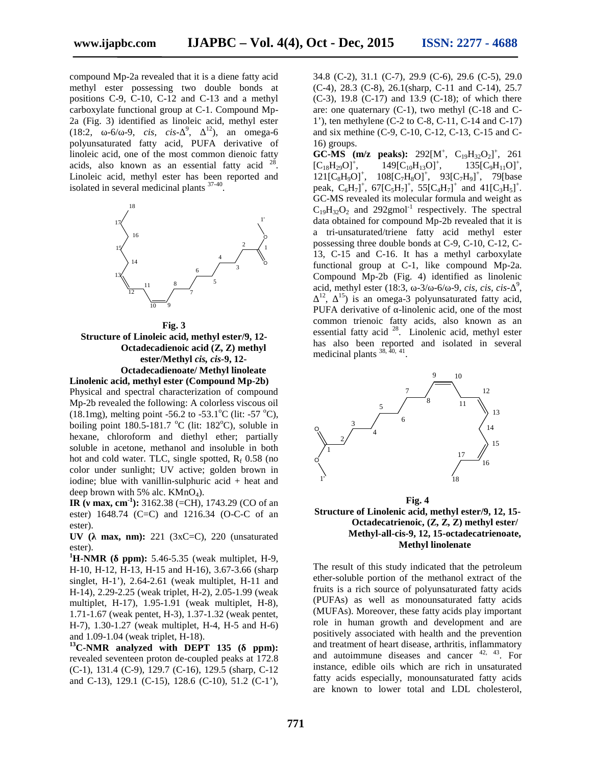compound Mp-2a revealed that it is a diene fatty acid methyl ester possessing two double bonds at positions C-9, C-10, C-12 and C-13 and a methyl carboxylate functional group at C-1. Compound Mp- 2a (Fig. 3) identified as linoleic acid, methyl ester  $(18.2, -6/ -9, cis, cis - \frac{9}{2}, i2)$ , an omega-6 polyunsaturated fatty acid, PUFA derivative of linoleic acid, one of the most common dienoic fatty acids, also known as an essential fatty acid  $2^8$ . Linoleic acid, methyl ester has been reported and isolated in several medicinal plants  $37-40$ . .



**Fig. 3 Structure of Linoleic acid, methyl ester/9, 12- Octadecadienoic acid (Z, Z) methyl ester/Methyl** *cis, cis***-9, 12- Octadecadienoate/ Methyl linoleate**

**Linolenic acid, methyl ester (Compound Mp-2b)** Physical and spectral characterization of compound Mp-2b revealed the following: A colorless viscous oil (18.1mg), melting point -56.2 to -53.1<sup>o</sup>C (lit: -57 <sup>o</sup>C), boiling point 180.5-181.7 <sup>o</sup>C (lit: 182<sup>o</sup>C), soluble in hexane, chloroform and diethyl ether; partially soluble in acetone, methanol and insoluble in both hot and cold water. TLC, single spotted,  $R_f$  0.58 (no color under sunlight; UV active; golden brown in iodine; blue with vanillin-sulphuric acid + heat and deep brown with 5% alc.  $KMnO<sub>4</sub>$ ).

**IR** (max, cm<sup>-1</sup>): 3162.38 (=CH), 1743.29 (CO of an ester) 1648.74 (C=C) and 1216.34 (O-C-C of an ester).

**UV** ( **max, nm):** 221 (3xC=C), 220 (unsaturated

ester).<br>**<sup>1</sup>H-NMR** (ppm): 5.46-5.35 (weak multiplet, H-9, H-10, H-12, H-13, H-15 and H-16), 3.67-3.66 (sharp singlet, H-1'), 2.64-2.61 (weak multiplet, H-11 and H-14), 2.29-2.25 (weak triplet, H-2), 2.05-1.99 (weak multiplet, H-17), 1.95-1.91 (weak multiplet, H-8), 1.71-1.67 (weak pentet, H-3), 1.37-1.32 (weak pentet, H-7), 1.30-1.27 (weak multiplet, H-4, H-5 and H-6) and 1.09-1.04 (weak triplet, H-18).

<sup>13</sup>**C-NMR** analyzed with DEPT 135 (ppm): revealed seventeen proton de-coupled peaks at 172.8 (C-1), 131.4 (C-9), 129.7 (C-16), 129.5 (sharp, C-12 and C-13), 129.1 (C-15), 128.6 (C-10), 51.2 (C-1'), 34.8 (C-2), 31.1 (C-7), 29.9 (C-6), 29.6 (C-5), 29.0 (C-4), 28.3 (C-8), 26.1(sharp, C-11 and C-14), 25.7 (C-3), 19.8 (C-17) and 13.9 (C-18); of which there are: one quaternary  $(C-1)$ , two methyl  $(C-18)$  and  $C-$ 1'), ten methylene (C-2 to C-8, C-11, C-14 and C-17) and six methine (C-9, C-10, C-12, C-13, C-15 and C- 16) groups.

<sup>o</sup> functional group at C-1, like compound Mp-2a.  $\circ$   $\cdot$ **GC-MS** (m/z peaks):  $292[M^+, C_{19}H_{32}O_2]^+$ , 261  $[C_{18}H_{29}O]^+$ ,  $149[C_{10}H_{13}O]^+$ ,  $, \qquad 135[C_9H_{11}O]^+,$  $121[C_8H_9O]^+$ ,  $108[C_7H_8O]^+$ ,  $93[C_7H_9]^+$ , 79[base peak,  $C_6H_7]^+$ ,  $67[C_5H_7]^+$ ,  $55[C_4H_7]^+$  and  $41[C_3H_5]^+$ . GC-MS revealed its molecular formula and weight as  $C_{19}H_{32}O_2$  and 292gmol<sup>-1</sup> respectively. The spectral data obtained for compound Mp-2b revealed that it is a tri-unsaturated/triene fatty acid methyl ester possessing three double bonds at C-9, C-10, C-12, C- 13, C-15 and C-16. It has a methyl carboxylate Compound Mp-2b (Fig. 4) identified as linolenic acid, methyl ester (18:3,  $-3/-6/-9$ , *cis, cis, cis*-<sup>9</sup>, <br><sup>12</sup>, <sup>15</sup>, is an amoge 3 notumentum defity acid  $, \frac{15}{2}$  is an omega-3 polyunsaturated fatty acid, PUFA derivative of -linolenic acid, one of the most

common trienoic fatty acids, also known as an essential fatty acid <sup>28</sup>. Linolenic acid, methyl ester has also been reported and isolated in several medicinal plants  $^{38, 40, 41}$ .



**Fig. 4 Structure of Linolenic acid, methyl ester/9, 12, 15- Octadecatrienoic, (Z, Z, Z) methyl ester/ Methyl-all-cis-9, 12, 15-octadecatrienoate, Methyl linolenate**

The result of this study indicated that the petroleum ether-soluble portion of the methanol extract of the fruits is a rich source of polyunsaturated fatty acids (PUFAs) as well as monounsaturated fatty acids (MUFAs). Moreover, these fatty acids play important role in human growth and development and are positively associated with health and the prevention and treatment of heart disease, arthritis, inflammatory and autoimmune diseases and cancer  $42, 43$ . For instance, edible oils which are rich in unsaturated fatty acids especially, monounsaturated fatty acids are known to lower total and LDL cholesterol,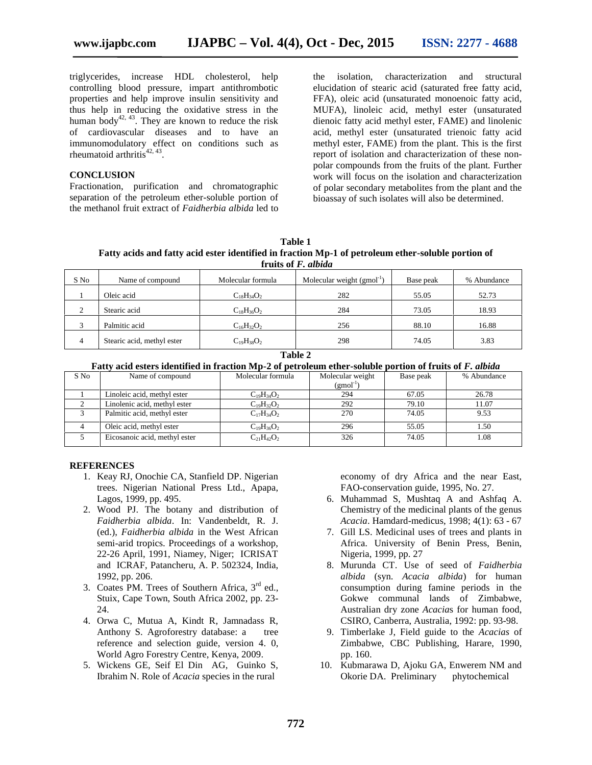triglycerides, increase HDL cholesterol, help controlling blood pressure, impart antithrombotic properties and help improve insulin sensitivity and thus help in reducing the oxidative stress in the human body<sup>42, 43</sup>. They are known to reduce the risk of cardiovascular diseases and to have an immunomodulatory effect on conditions such as rheumatoid arthritis $42, 43$ .

#### **CONCLUSION**

Fractionation, purification and chromatographic separation of the petroleum ether-soluble portion of the methanol fruit extract of *Faidherbia albida* led to

isolation, characterization and structural elucidation of stearic acid (saturated free fatty acid, FFA), oleic acid (unsaturated monoenoic fatty acid, MUFA), linoleic acid, methyl ester (unsaturated dienoic fatty acid methyl ester, FAME) and linolenic acid, methyl ester (unsaturated trienoic fatty acid methyl ester, FAME) from the plant. This is the first report of isolation and characterization of these non polar compounds from the fruits of the plant*.* Further work will focus on the isolation and characterization of polar secondary metabolites from the plant and the bioassay of such isolates will also be determined.

| Table 1                                                                                            |
|----------------------------------------------------------------------------------------------------|
| Fatty acids and fatty acid ester identified in fraction Mp-1 of petroleum ether-soluble portion of |
| fruits of <i>F. albida</i>                                                                         |

| S No               | Name of compound           | Molecular formula | Molecular weight $(gmol^{-1})$ | Base peak | % Abundance |
|--------------------|----------------------------|-------------------|--------------------------------|-----------|-------------|
|                    | Oleic acid                 | $C_{18}H_{34}O_2$ | 282                            | 55.05     | 52.73       |
| $\mathcal{L}$<br>∠ | Stearic acid               | $C_{18}H_{36}O_2$ | 284                            | 73.05     | 18.93       |
|                    | Palmitic acid              | $C_{16}H_{32}O_2$ | 256                            | 88.10     | 16.88       |
| $\overline{4}$     | Stearic acid, methyl ester | $C_{19}H_{38}O_2$ | 298                            | 74.05     | 3.83        |

**Table 2**

**Fatty acid esters identified in fraction Mp-2 of petroleum ether-soluble portion of fruits of** *F. albida*

| S No | Name of compound              | Molecular formula | Molecular weight | Base peak | % Abundance |
|------|-------------------------------|-------------------|------------------|-----------|-------------|
|      |                               |                   | $(gmol^{-1})$    |           |             |
|      | Linoleic acid, methyl ester   | $C_{19}H_{34}O_2$ | 294              | 67.05     | 26.78       |
|      | Linolenic acid, methyl ester  | $C_{19}H_{32}O_2$ | 292              | 79.10     | 11.07       |
|      | Palmitic acid, methyl ester   | $C_{17}H_{34}O_2$ | 270              | 74.05     | 9.53        |
| 4    | Oleic acid, methyl ester      | $C_{19}H_{36}O_2$ | 296              | 55.05     | .50         |
|      | Eicosanoic acid, methyl ester | $C_{21}H_{42}O_2$ | 326              | 74.05     | .08         |

#### **REFERENCES**

- 1. Keay RJ, Onochie CA, Stanfield DP. Nigerian trees. Nigerian National Press Ltd., Apapa, Lagos, 1999, pp. 495.
- 2. Wood PJ. The botany and distribution of *Faidherbia albida*. In: Vandenbeldt, R. J. (ed.), *Faidherbia albida* in the West African semi-arid tropics. Proceedings of a workshop, 22-26 April, 1991, Niamey, Niger; ICRISAT and ICRAF, Patancheru, A. P. 502324, India, 1992, pp. 206.
- 3. Coates PM. Trees of Southern Africa,  $3<sup>rd</sup>$  ed., Stuix, Cape Town, South Africa 2002, pp. 23- 24.
- 4. Orwa C, Mutua A, Kindt R, Jamnadass R, Anthony S. Agroforestry database: a tree reference and selection guide, version 4. 0, World Agro Forestry Centre, Kenya, 2009.
- 5. Wickens GE, Seif El Din AG, Guinko S, Ibrahim N. Role of *Acacia* species in the rural

economy of dry Africa and the near East, FAO-conservation guide, 1995, No. 27.

- 6. Muhammad S, Mushtaq A and Ashfaq A. Chemistry of the medicinal plants of the genus *Acacia*. Hamdard-medicus, 1998; 4(1): 63 - 67
- 7. Gill LS. Medicinal uses of trees and plants in Africa. University of Benin Press, Benin, Nigeria, 1999, pp. 27
- 8. Murunda CT. Use of seed of *Faidherbia albida* (syn. *Acacia albida*) for human consumption during famine periods in the Gokwe communal lands of Zimbabwe, Australian dry zone *Acacia*s for human food, CSIRO, Canberra, Australia, 1992: pp. 93-98.
- 9. Timberlake J, Field guide to the *Acacias* of Zimbabwe, CBC Publishing, Harare, 1990, pp. 160.
- 10. Kubmarawa D, Ajoku GA, Enwerem NM and Okorie DA. Preliminary phytochemical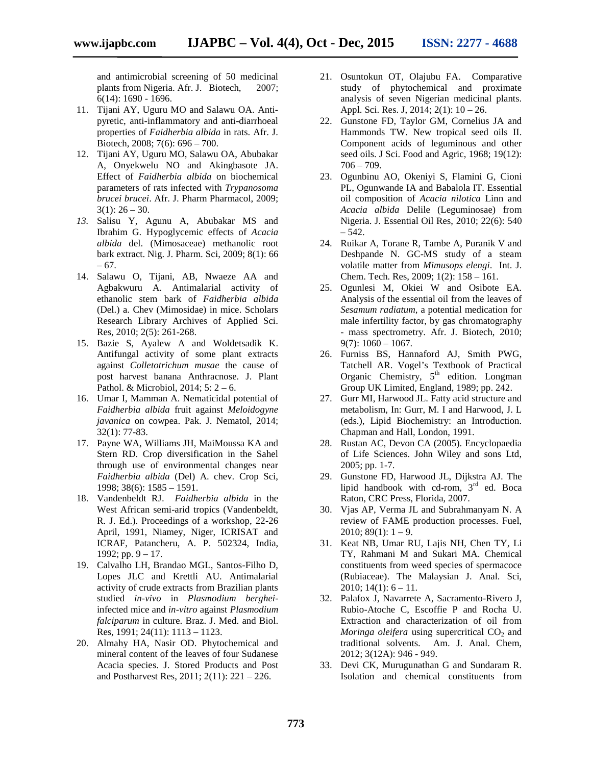and antimicrobial screening of 50 medicinal plants from Nigeria. Afr. J. Biotech, 2007; 6(14): 1690 - 1696.

- 11. Tijani AY, Uguru MO and Salawu OA. Anti pyretic, anti-inflammatory and anti-diarrhoeal properties of *Faidherbia albida* in rats. Afr. J. Biotech, 2008; 7(6): 696 – 700.
- 12. Tijani AY, Uguru MO, Salawu OA, Abubakar A, Onyekwelu NO and Akingbasote JA. Effect of *Faidherbia albida* on biochemical parameters of rats infected with *Trypanosoma brucei brucei*. Afr. J. Pharm Pharmacol, 2009;  $3(1)$ :  $26 - 30$ .
- *13.* Salisu Y, Agunu A, Abubakar MS and Ibrahim G. Hypoglycemic effects of *Acacia albida* del. (Mimosaceae) methanolic root bark extract. Nig. J. Pharm. Sci, 2009; 8(1): 66 – 67.
- 14. Salawu O, Tijani, AB, Nwaeze AA and Agbakwuru A. Antimalarial activity of ethanolic stem bark of *Faidherbia albida* (Del.) a. Chev (Mimosidae) in mice. Scholars Research Library Archives of Applied Sci. Res, 2010; 2(5): 261-268.
- 15. Bazie S, Ayalew A and Woldetsadik K. Antifungal activity of some plant extracts against *Colletotrichum musae* the cause of post harvest banana Anthracnose. J. Plant Pathol. & Microbiol, 2014;  $5: 2 - 6$ .<br>16. Umar I, Mamman A. Nematicidal potential of
- *Faidherbia albida* fruit against *Meloidogyne javanica* on cowpea. Pak. J. Nematol, 2014; 32(1): 77-83.
- 17. Payne WA, Williams JH, MaiMoussa KA and Stern RD. Crop diversification in the Sahel through use of environmental changes near *Faidherbia albida* (Del) A. chev. Crop Sci, 1998; 38(6): 1585 – 1591.
- 18. Vandenbeldt RJ. *Faidherbia albida* in the West African semi-arid tropics (Vandenbeldt, R. J. Ed.). Proceedings of a workshop, 22-26 April, 1991, Niamey, Niger, ICRISAT and ICRAF, Patancheru, A. P. 502324, India, 1992; pp.  $9 - 17$ .
- 19. Calvalho LH, Brandao MGL, Santos-Filho D, Lopes JLC and Krettli AU. Antimalarial activity of crude extracts from Brazilian plants studied *in-vivo* in *Plasmodium berghei*infected mice and *in-vitro* against *Plasmodium falciparum* in culture. Braz. J. Med. and Biol. Res, 1991; 24(11): 1113 – 1123.
- 20. Almahy HA, Nasir OD. Phytochemical and mineral content of the leaves of four Sudanese Acacia species. J. Stored Products and Post and Postharvest Res, 2011; 2(11): 221 – 226.
- 21. Osuntokun OT, Olajubu FA. Comparative study of phytochemical and proximate analysis of seven Nigerian medicinal plants. Appl. Sci. Res. J, 2014; 2(1): 10 – 26.
- 22. Gunstone FD, Taylor GM, Cornelius JA and Hammonds TW. New tropical seed oils II. Component acids of leguminous and other seed oils. J Sci. Food and Agric, 1968; 19(12):  $706 - 709.$
- 23. Ogunbinu AO, Okeniyi S, Flamini G, Cioni PL, Ogunwande IA and Babalola IT. Essential oil composition of *Acacia nilotica* Linn and *Acacia albida* Delile (Leguminosae) from Nigeria. J. Essential Oil Res, 2010; 22(6): 540  $-542.$
- 24. Ruikar A, Torane R, Tambe A, Puranik V and Deshpande N. GC-MS study of a steam volatile matter from *Mimusops elengi*. Int. J. Chem. Tech. Res, 2009; 1(2): 158 – 161.
- 25. Ogunlesi M, Okiei W and Osibote EA. Analysis of the essential oil from the leaves of *Sesamum radiatum,* a potential medication for male infertility factor, by gas chromatography - mass spectrometry. Afr. J. Biotech, 2010;  $9(7): 1060 - 1067.$
- 26. Furniss BS, Hannaford AJ, Smith PWG, Tatchell AR. Vogel's Textbook of Practical Organic Chemistry, 5<sup>th</sup> edition. Longman Group UK Limited, England, 1989; pp. 242.
- 27. Gurr MI, Harwood JL. Fatty acid structure and metabolism, In: Gurr, M. I and Harwood, J. L (eds.), Lipid Biochemistry: an Introduction. Chapman and Hall, London, 1991.
- 28. Rustan AC, Devon CA (2005). Encyclopaedia of Life Sciences. John Wiley and sons Ltd, 2005; pp. 1-7.
- 29. Gunstone FD, Harwood JL, Dijkstra AJ. The lipid handbook with cd-rom,  $3<sup>rd</sup>$  ed. Boca Raton, CRC Press, Florida, 2007.
- 30. Vjas AP, Verma JL and Subrahmanyam N. A review of FAME production processes. Fuel, 2010;  $89(1)$ :  $1 - 9$ .
- 31. Keat NB, Umar RU, Lajis NH, Chen TY, Li TY, Rahmani M and Sukari MA. Chemical constituents from weed species of spermacoce (Rubiaceae). The Malaysian J. Anal. Sci, 2010;  $14(1)$ :  $6 - 11$ .
- 32. Palafox J, Navarrete A, Sacramento-Rivero J, Rubio-Atoche C, Escoffie P and Rocha U. Extraction and characterization of oil from *Moringa oleifera* using supercritical  $CO<sub>2</sub>$  and traditional solvents. Am. J. Anal. Chem, 2012; 3(12A): 946 - 949.
- 33. Devi CK, Murugunathan G and Sundaram R. Isolation and chemical constituents from